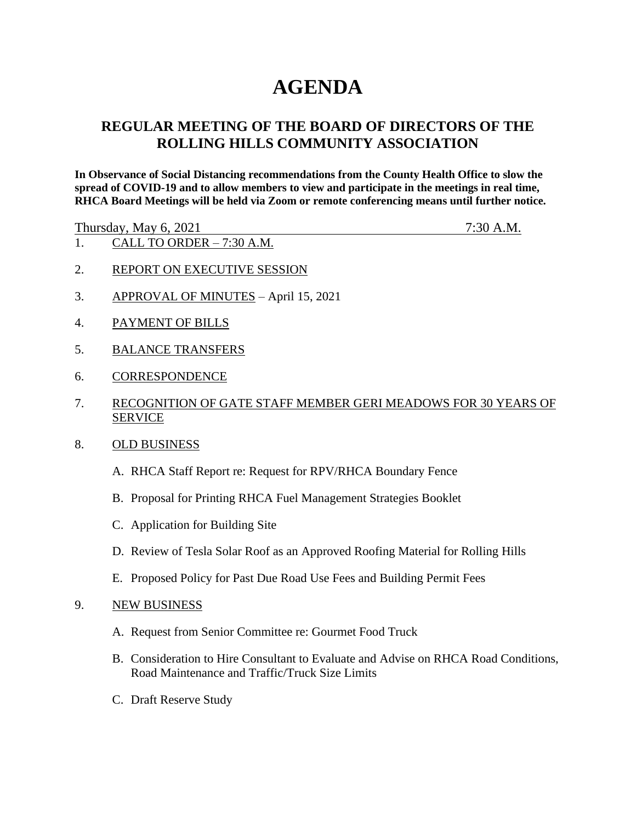# **AGENDA**

# **REGULAR MEETING OF THE BOARD OF DIRECTORS OF THE ROLLING HILLS COMMUNITY ASSOCIATION**

**In Observance of Social Distancing recommendations from the County Health Office to slow the spread of COVID-19 and to allow members to view and participate in the meetings in real time, RHCA Board Meetings will be held via Zoom or remote conferencing means until further notice.** 

Thursday, May 6, 2021 7:30 A.M.

- 1. CALL TO ORDER 7:30 A.M.
- 2. REPORT ON EXECUTIVE SESSION
- 3. APPROVAL OF MINUTES April 15, 2021
- 4. PAYMENT OF BILLS
- 5. BALANCE TRANSFERS
- 6. CORRESPONDENCE
- 7. RECOGNITION OF GATE STAFF MEMBER GERI MEADOWS FOR 30 YEARS OF SERVICE
- 8. OLD BUSINESS
	- A. RHCA Staff Report re: Request for RPV/RHCA Boundary Fence
	- B. Proposal for Printing RHCA Fuel Management Strategies Booklet
	- C. Application for Building Site
	- D. Review of Tesla Solar Roof as an Approved Roofing Material for Rolling Hills
	- E. Proposed Policy for Past Due Road Use Fees and Building Permit Fees

#### 9. NEW BUSINESS

- A. Request from Senior Committee re: Gourmet Food Truck
- B. Consideration to Hire Consultant to Evaluate and Advise on RHCA Road Conditions, Road Maintenance and Traffic/Truck Size Limits
- C. Draft Reserve Study